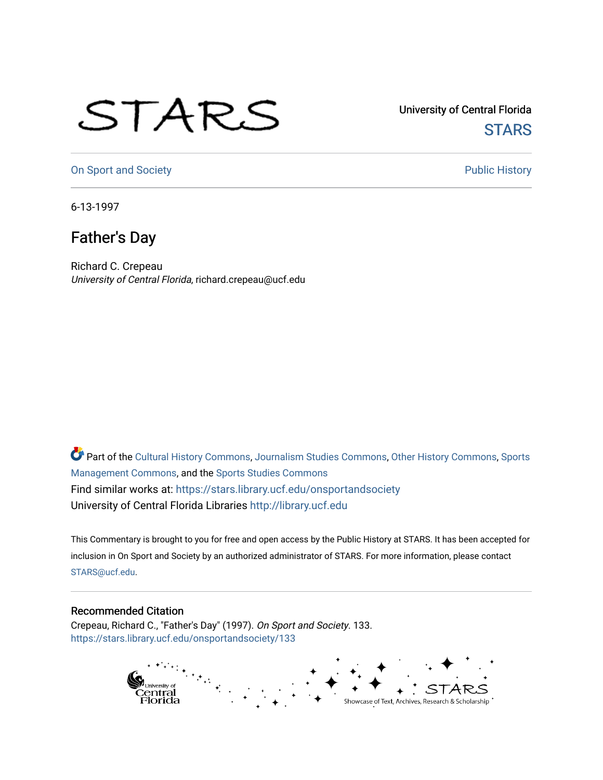## STARS

University of Central Florida **STARS** 

[On Sport and Society](https://stars.library.ucf.edu/onsportandsociety) **Public History** Public History

6-13-1997

## Father's Day

Richard C. Crepeau University of Central Florida, richard.crepeau@ucf.edu

Part of the [Cultural History Commons](http://network.bepress.com/hgg/discipline/496?utm_source=stars.library.ucf.edu%2Fonsportandsociety%2F133&utm_medium=PDF&utm_campaign=PDFCoverPages), [Journalism Studies Commons,](http://network.bepress.com/hgg/discipline/333?utm_source=stars.library.ucf.edu%2Fonsportandsociety%2F133&utm_medium=PDF&utm_campaign=PDFCoverPages) [Other History Commons,](http://network.bepress.com/hgg/discipline/508?utm_source=stars.library.ucf.edu%2Fonsportandsociety%2F133&utm_medium=PDF&utm_campaign=PDFCoverPages) [Sports](http://network.bepress.com/hgg/discipline/1193?utm_source=stars.library.ucf.edu%2Fonsportandsociety%2F133&utm_medium=PDF&utm_campaign=PDFCoverPages) [Management Commons](http://network.bepress.com/hgg/discipline/1193?utm_source=stars.library.ucf.edu%2Fonsportandsociety%2F133&utm_medium=PDF&utm_campaign=PDFCoverPages), and the [Sports Studies Commons](http://network.bepress.com/hgg/discipline/1198?utm_source=stars.library.ucf.edu%2Fonsportandsociety%2F133&utm_medium=PDF&utm_campaign=PDFCoverPages) Find similar works at: <https://stars.library.ucf.edu/onsportandsociety> University of Central Florida Libraries [http://library.ucf.edu](http://library.ucf.edu/) 

This Commentary is brought to you for free and open access by the Public History at STARS. It has been accepted for inclusion in On Sport and Society by an authorized administrator of STARS. For more information, please contact [STARS@ucf.edu](mailto:STARS@ucf.edu).

## Recommended Citation

Crepeau, Richard C., "Father's Day" (1997). On Sport and Society. 133. [https://stars.library.ucf.edu/onsportandsociety/133](https://stars.library.ucf.edu/onsportandsociety/133?utm_source=stars.library.ucf.edu%2Fonsportandsociety%2F133&utm_medium=PDF&utm_campaign=PDFCoverPages)

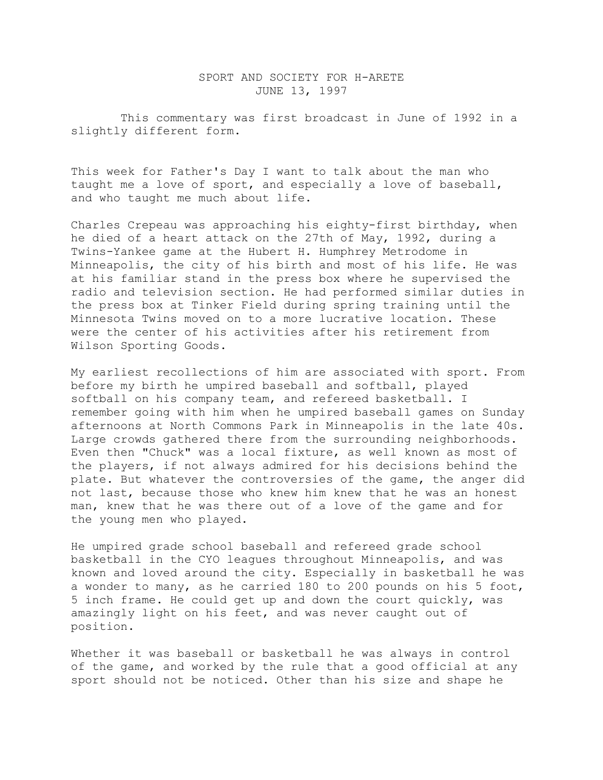## SPORT AND SOCIETY FOR H-ARETE JUNE 13, 1997

 This commentary was first broadcast in June of 1992 in a slightly different form.

This week for Father's Day I want to talk about the man who taught me a love of sport, and especially a love of baseball, and who taught me much about life.

Charles Crepeau was approaching his eighty-first birthday, when he died of a heart attack on the 27th of May, 1992, during a Twins-Yankee game at the Hubert H. Humphrey Metrodome in Minneapolis, the city of his birth and most of his life. He was at his familiar stand in the press box where he supervised the radio and television section. He had performed similar duties in the press box at Tinker Field during spring training until the Minnesota Twins moved on to a more lucrative location. These were the center of his activities after his retirement from Wilson Sporting Goods.

My earliest recollections of him are associated with sport. From before my birth he umpired baseball and softball, played softball on his company team, and refereed basketball. I remember going with him when he umpired baseball games on Sunday afternoons at North Commons Park in Minneapolis in the late 40s. Large crowds gathered there from the surrounding neighborhoods. Even then "Chuck" was a local fixture, as well known as most of the players, if not always admired for his decisions behind the plate. But whatever the controversies of the game, the anger did not last, because those who knew him knew that he was an honest man, knew that he was there out of a love of the game and for the young men who played.

He umpired grade school baseball and refereed grade school basketball in the CYO leagues throughout Minneapolis, and was known and loved around the city. Especially in basketball he was a wonder to many, as he carried 180 to 200 pounds on his 5 foot, 5 inch frame. He could get up and down the court quickly, was amazingly light on his feet, and was never caught out of position.

Whether it was baseball or basketball he was always in control of the game, and worked by the rule that a good official at any sport should not be noticed. Other than his size and shape he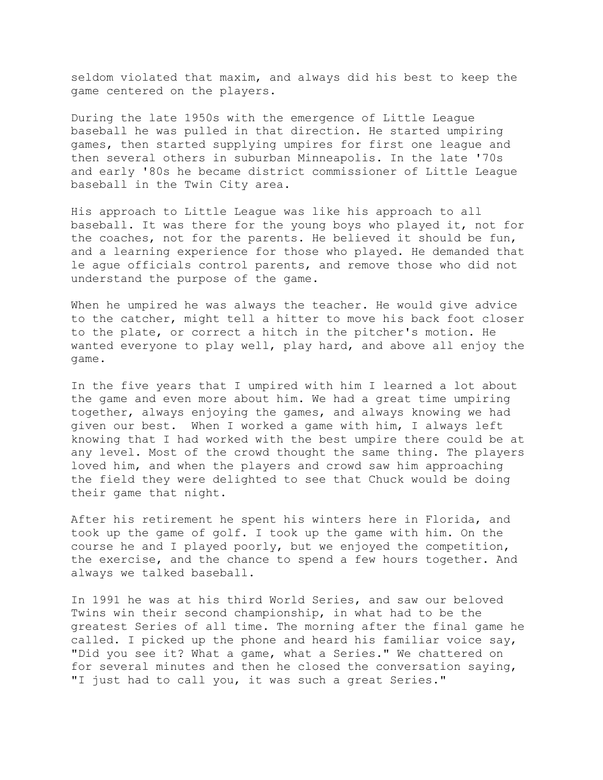seldom violated that maxim, and always did his best to keep the game centered on the players.

During the late 1950s with the emergence of Little League baseball he was pulled in that direction. He started umpiring games, then started supplying umpires for first one league and then several others in suburban Minneapolis. In the late '70s and early '80s he became district commissioner of Little League baseball in the Twin City area.

His approach to Little League was like his approach to all baseball. It was there for the young boys who played it, not for the coaches, not for the parents. He believed it should be fun, and a learning experience for those who played. He demanded that le ague officials control parents, and remove those who did not understand the purpose of the game.

When he umpired he was always the teacher. He would give advice to the catcher, might tell a hitter to move his back foot closer to the plate, or correct a hitch in the pitcher's motion. He wanted everyone to play well, play hard, and above all enjoy the game.

In the five years that I umpired with him I learned a lot about the game and even more about him. We had a great time umpiring together, always enjoying the games, and always knowing we had given our best. When I worked a game with him, I always left knowing that I had worked with the best umpire there could be at any level. Most of the crowd thought the same thing. The players loved him, and when the players and crowd saw him approaching the field they were delighted to see that Chuck would be doing their game that night.

After his retirement he spent his winters here in Florida, and took up the game of golf. I took up the game with him. On the course he and I played poorly, but we enjoyed the competition, the exercise, and the chance to spend a few hours together. And always we talked baseball.

In 1991 he was at his third World Series, and saw our beloved Twins win their second championship, in what had to be the greatest Series of all time. The morning after the final game he called. I picked up the phone and heard his familiar voice say, "Did you see it? What a game, what a Series." We chattered on for several minutes and then he closed the conversation saying, "I just had to call you, it was such a great Series."